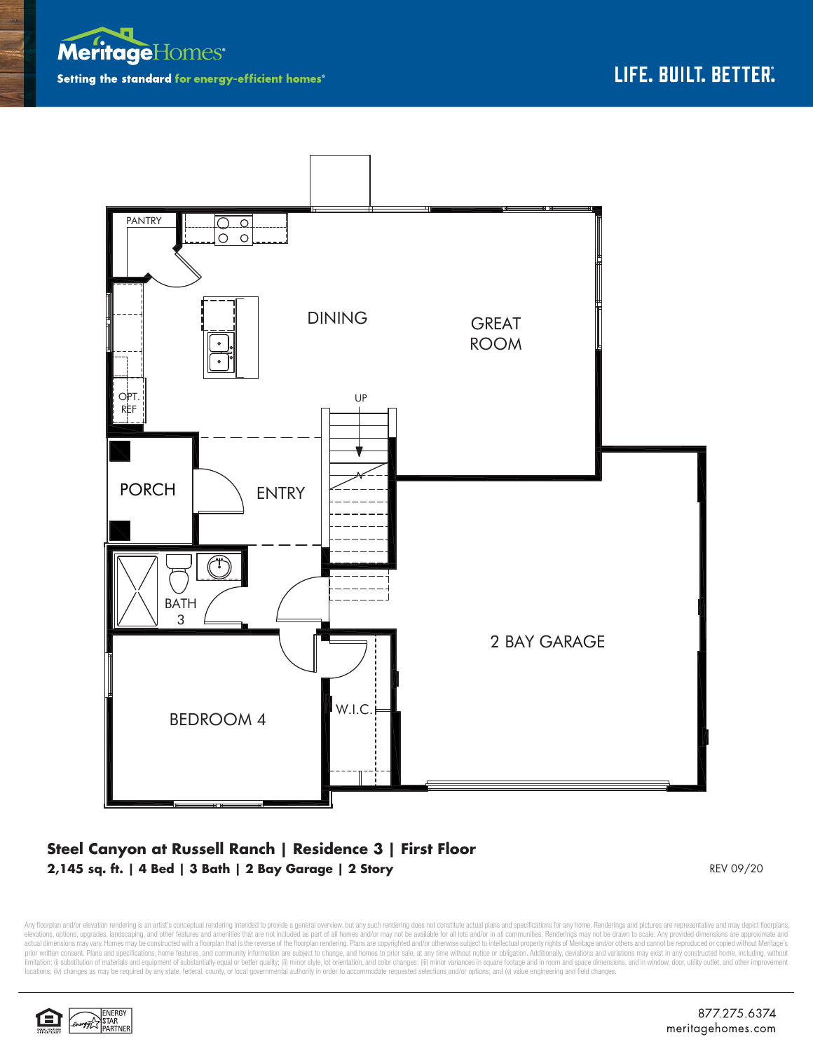



## **Steel Canyon at Russell Ranch | Residence 3 | First Floor 2,145 sq. ft. | 4 Bed | 3 Bath | 2 Bay Garage | 2 Story** REV 09/20

Any floorplan and/or elevation rendering is an artist's conceptual rendering intended to provide a general overview, but any such rendering does not constitute actual plans and specifications for any home. Renderings and p elevations, options, upgrades, landscaping, and other features and amenities that are not included as part of all homes and/or may not be available for all lots and/or in all communities. Renderings may not be drawn to sca limitation: (i) substitution of materials and equipment of substantially equal or better quality; (ii) minor style, lot orientation, and color changes; (iii) minor variances in square footage and in room and space dimensio locations; (iv) changes as may be required by any state, federal, county, or local governmental authority in order to accommodate requested selections and/or options; and (v) value engineering and field changes.